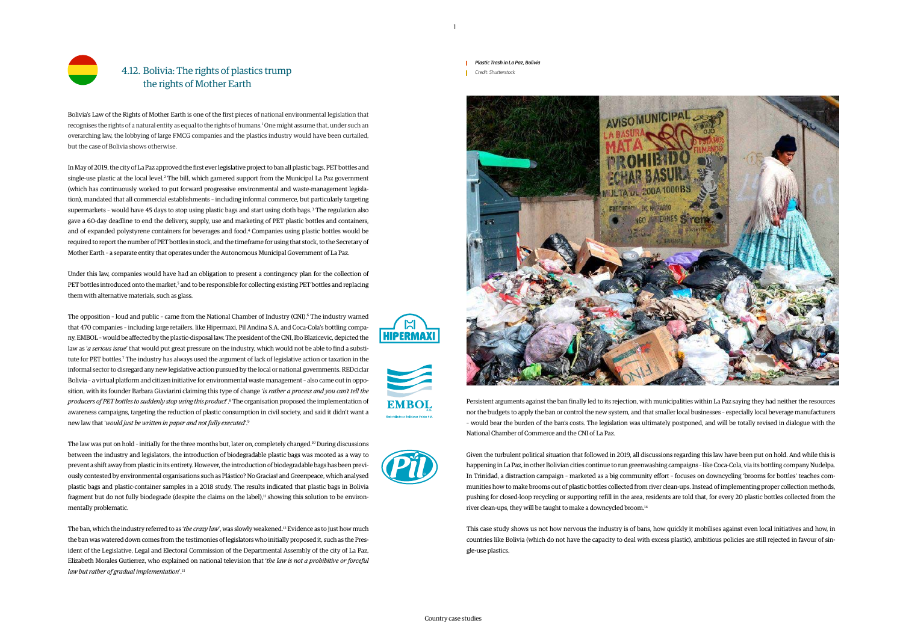

Bolivia's Law of the Rights of Mother Earth is one of the first pieces of national environmental legislation that recognises the rights of a natural entity as equal to the rights of humans.<sup>1</sup> One might assume that, under such an overarching law, the lobbying of large FMCG companies and the plastics industry would have been curtailed, but the case of Bolivia shows otherwise.

In May of 2019, the city of La Paz approved the first ever legislative project to ban all plastic bags, PET bottles and single-use plastic at the local level.<sup>2</sup> The bill, which garnered support from the Municipal La Paz government (which has continuously worked to put forward progressive environmental and waste-management legislation), mandated that all commercial establishments – including informal commerce, but particularly targeting supermarkets – would have 45 days to stop using plastic bags and start using cloth bags. 3 The regulation also gave a 60-day deadline to end the delivery, supply, use and marketing of PET plastic bottles and containers, and of expanded polystyrene containers for beverages and food.4 Companies using plastic bottles would be required to report the number of PET bottles in stock, and the timeframe for using that stock, to the Secretary of Mother Earth – a separate entity that operates under the Autonomous Municipal Government of La Paz.

The opposition - loud and public - came from the National Chamber of Industry (CNI).<sup>6</sup> The industry warned that 470 companies – including large retailers, like Hipermaxi, Pil Andina S.A. and Coca-Cola's bottling company, EMBOL – would be affected by the plastic-disposal law. The president of the CNI, Ibo Blazicevic, depicted the law as '*a serious issue*' that would put great pressure on the industry, which would not be able to find a substitute for PET bottles.<sup>7</sup> The industry has always used the argument of lack of legislative action or taxation in the informal sector to disregard any new legislative action pursued by the local or national governments. REDciclar Bolivia – a virtual platform and citizen initiative for environmental waste management – also came out in opposition, with its founder Barbara Giaviarini claiming this type of change '*is rather a process and you can't tell the producers of PET bottles to suddenly stop using this product*'.8 The organisation proposed the implementation of awareness campaigns, targeting the reduction of plastic consumption in civil society, and said it didn't want a new law that '*would just be written in paper and not fully executed*'.9

Under this law, companies would have had an obligation to present a contingency plan for the collection of PET bottles introduced onto the market,<sup>5</sup> and to be responsible for collecting existing PET bottles and replacing them with alternative materials, such as glass.

> Given the turbulent political situation that followed in 2019, all discussions regarding this law have been put on hold. And while this is happening in La Paz, in other Bolivian cities continue to run greenwashing campaigns – like Coca-Cola, via its bottling company Nudelpa. In Trinidad, a distraction campaign – marketed as a big community effort – focuses on downcycling 'brooms for bottles' teaches communities how to make brooms out of plastic bottles collected from river clean-ups. Instead of implementing proper collection methods, pushing for closed-loop recycling or supporting refill in the area, residents are told that, for every 20 plastic bottles collected from the river clean-ups, they will be taught to make a downcycled broom.<sup>14</sup>

The law was put on hold – initially for the three months but, later on, completely changed.10 During discussions between the industry and legislators, the introduction of biodegradable plastic bags was mooted as a way to prevent a shift away from plastic in its entirety. However, the introduction of biodegradable bags has been previously contested by environmental organisations such as Plástico? No Gracias! and Greenpeace, which analysed plastic bags and plastic-container samples in a 2018 study. The results indicated that plastic bags in Bolivia fragment but do not fully biodegrade (despite the claims on the label),<sup>11</sup> showing this solution to be environmentally problematic.

The ban, which the industry referred to as '*the crazy law*', was slowly weakened.12 Evidence as to just how much the ban was watered down comes from the testimonies of legislators who initially proposed it, such as the President of the Legislative, Legal and Electoral Commission of the Departmental Assembly of the city of La Paz, Elizabeth Morales Gutierrez, who explained on national television that '*the law is not a prohibitive or forceful law but rather of gradual implementation*'.13

Persistent arguments against the ban finally led to its rejection, with municipalities within La Paz saying they had neither the resources nor the budgets to apply the ban or control the new system, and that smaller local businesses – especially local beverage manufacturers – would bear the burden of the ban's costs. The legislation was ultimately postponed, and will be totally revised in dialogue with the National Chamber of Commerce and the CNI of La Paz.

This case study shows us not how nervous the industry is of bans, how quickly it mobilises against even local initiatives and how, in countries like Bolivia (which do not have the capacity to deal with excess plastic), ambitious policies are still rejected in favour of single-use plastics.



**EMBOL** 

 $\mathbb{M}$ **HIPERMAXI**  *Plastic Trash in La Paz, Bolivia Credit: Shutterstock*